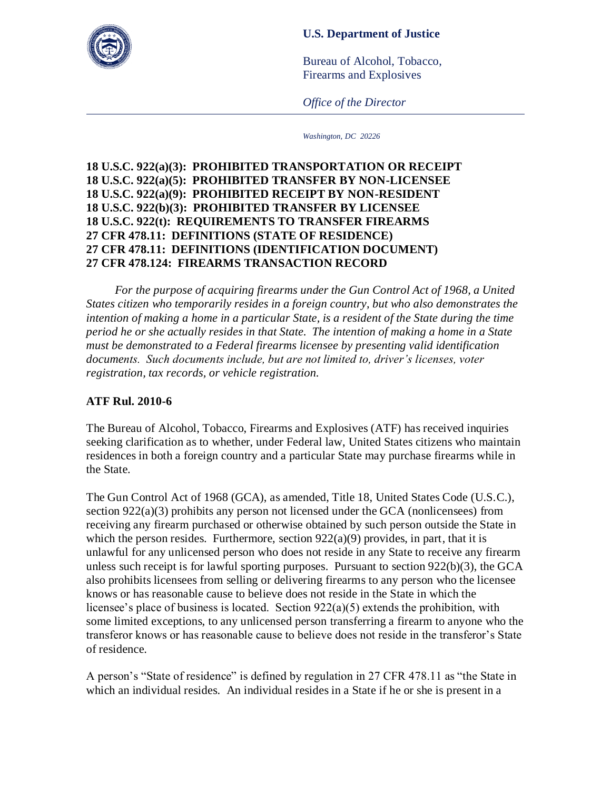## **U.S. Department of Justice**



Bureau of Alcohol, Tobacco, Firearms and Explosives

*Office of the Director*

*Washington, DC 20226*

## **18 U.S.C. 922(a)(3): PROHIBITED TRANSPORTATION OR RECEIPT 18 U.S.C. 922(a)(5): PROHIBITED TRANSFER BY NON-LICENSEE 18 U.S.C. 922(a)(9): PROHIBITED RECEIPT BY NON-RESIDENT 18 U.S.C. 922(b)(3): PROHIBITED TRANSFER BY LICENSEE 18 U.S.C. 922(t): REQUIREMENTS TO TRANSFER FIREARMS 27 CFR 478.11: DEFINITIONS (STATE OF RESIDENCE) 27 CFR 478.11: DEFINITIONS (IDENTIFICATION DOCUMENT) 27 CFR 478.124: FIREARMS TRANSACTION RECORD**

*For the purpose of acquiring firearms under the Gun Control Act of 1968, a United States citizen who temporarily resides in a foreign country, but who also demonstrates the intention of making a home in a particular State, is a resident of the State during the time period he or she actually resides in that State. The intention of making a home in a State must be demonstrated to a Federal firearms licensee by presenting valid identification documents. Such documents include, but are not limited to, driver's licenses, voter registration, tax records, or vehicle registration.* 

## **ATF Rul. 2010-6**

The Bureau of Alcohol, Tobacco, Firearms and Explosives (ATF) has received inquiries seeking clarification as to whether, under Federal law, United States citizens who maintain residences in both a foreign country and a particular State may purchase firearms while in the State.

The Gun Control Act of 1968 (GCA), as amended, Title 18, United States Code (U.S.C.), section 922(a)(3) prohibits any person not licensed under the GCA (nonlicensees) from receiving any firearm purchased or otherwise obtained by such person outside the State in which the person resides. Furthermore, section  $922(a)(9)$  provides, in part, that it is unlawful for any unlicensed person who does not reside in any State to receive any firearm unless such receipt is for lawful sporting purposes. Pursuant to section 922(b)(3), the GCA also prohibits licensees from selling or delivering firearms to any person who the licensee knows or has reasonable cause to believe does not reside in the State in which the licensee's place of business is located. Section 922(a)(5) extends the prohibition, with some limited exceptions, to any unlicensed person transferring a firearm to anyone who the transferor knows or has reasonable cause to believe does not reside in the transferor's State of residence.

A person's "State of residence" is defined by regulation in 27 CFR 478.11 as "the State in which an individual resides. An individual resides in a State if he or she is present in a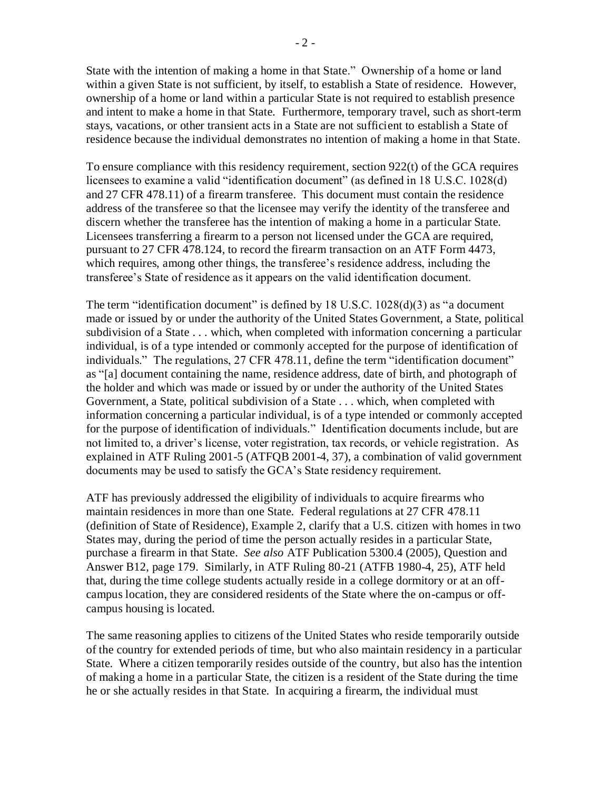State with the intention of making a home in that State." Ownership of a home or land within a given State is not sufficient, by itself, to establish a State of residence. However, ownership of a home or land within a particular State is not required to establish presence and intent to make a home in that State. Furthermore, temporary travel, such as short-term stays, vacations, or other transient acts in a State are not sufficient to establish a State of residence because the individual demonstrates no intention of making a home in that State.

To ensure compliance with this residency requirement, section 922(t) of the GCA requires licensees to examine a valid "identification document" (as defined in 18 U.S.C. 1028(d) and 27 CFR 478.11) of a firearm transferee. This document must contain the residence address of the transferee so that the licensee may verify the identity of the transferee and discern whether the transferee has the intention of making a home in a particular State. Licensees transferring a firearm to a person not licensed under the GCA are required, pursuant to 27 CFR 478.124, to record the firearm transaction on an ATF Form 4473, which requires, among other things, the transferee's residence address, including the transferee's State of residence as it appears on the valid identification document.

The term "identification document" is defined by 18 U.S.C. 1028(d)(3) as "a document made or issued by or under the authority of the United States Government, a State, political subdivision of a State . . . which, when completed with information concerning a particular individual, is of a type intended or commonly accepted for the purpose of identification of individuals." The regulations, 27 CFR 478.11, define the term "identification document" as "[a] document containing the name, residence address, date of birth, and photograph of the holder and which was made or issued by or under the authority of the United States Government, a State, political subdivision of a State . . . which, when completed with information concerning a particular individual, is of a type intended or commonly accepted for the purpose of identification of individuals." Identification documents include, but are not limited to, a driver's license, voter registration, tax records, or vehicle registration. As explained in ATF Ruling 2001-5 (ATFQB 2001-4, 37), a combination of valid government documents may be used to satisfy the GCA's State residency requirement.

ATF has previously addressed the eligibility of individuals to acquire firearms who maintain residences in more than one State. Federal regulations at 27 CFR 478.11 (definition of State of Residence), Example 2, clarify that a U.S. citizen with homes in two States may, during the period of time the person actually resides in a particular State, purchase a firearm in that State. *See also* ATF Publication 5300.4 (2005), Question and Answer B12, page 179. Similarly, in ATF Ruling 80-21 (ATFB 1980-4, 25), ATF held that, during the time college students actually reside in a college dormitory or at an offcampus location, they are considered residents of the State where the on-campus or offcampus housing is located.

The same reasoning applies to citizens of the United States who reside temporarily outside of the country for extended periods of time, but who also maintain residency in a particular State. Where a citizen temporarily resides outside of the country, but also has the intention of making a home in a particular State, the citizen is a resident of the State during the time he or she actually resides in that State. In acquiring a firearm, the individual must